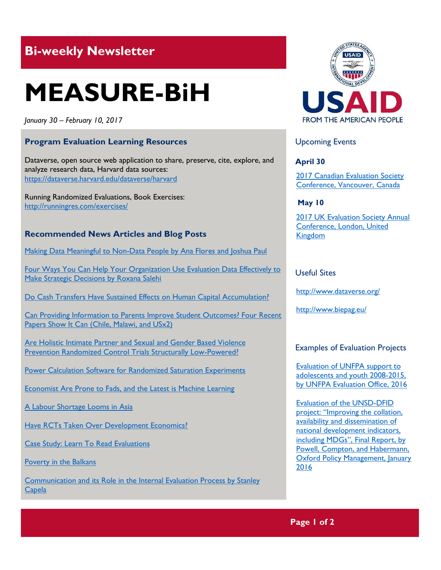## **Bi-weekly Newsletter**

# **MEASURE-BiH**

*January 30 – February 10, 2017*

### **Program Evaluation Learning Resources**

Dataverse, open source web application to share, preserve, cite, explore, and analyze research data, Harvard data sources: <https://dataverse.harvard.edu/dataverse/harvard>

Running Randomized Evaluations, Book Exercises: http://runningres.com/exercises/

#### **Recommended News Articles and Blog Posts**

[Making Data Meaningful to Non-Data People by Ana Flores and Joshua Paul](http://aea365.org/blog/internal-eval-week-making-data-meaningful-to-non-data-people-by-ana-flores-and-joshua-paul/?utm_source=feedburner&utm_medium=feed&utm_campaign=Feed%3A+aea365+%28AEA365%29)

[Four Ways You Can Help Your Organization Use Evaluation Data Effectively to](http://aea365.org/blog/internal-eval-week-four-ways-you-can-help-your-organizations-use-evaluation-data-effectively-to-make-strategic-decisions-by-roxana-salehi/?utm_source=feedburner&utm_medium=feed&utm_campaign=Feed%3A+aea365+%28AEA365%29)  [Make Strategic Decisions by Roxana Salehi](http://aea365.org/blog/internal-eval-week-four-ways-you-can-help-your-organizations-use-evaluation-data-effectively-to-make-strategic-decisions-by-roxana-salehi/?utm_source=feedburner&utm_medium=feed&utm_campaign=Feed%3A+aea365+%28AEA365%29)

[Do Cash Transfers Have Sustained Effects on Human Capital Accumulation?](http://blogs.worldbank.org/impactevaluations/do-cash-transfers-have-sustained-effects-human-capital-accumulation)

[Can Providing Information to Parents Improve Student Outcomes? Four Recent](http://blogs.worldbank.org/impactevaluations/can-providing-information-parents-improve-student-outcomes-4-recent-papers-show-it-can-chile-malawi)  [Papers Show It Can \(Chile, Malawi, and USx2\)](http://blogs.worldbank.org/impactevaluations/can-providing-information-parents-improve-student-outcomes-4-recent-papers-show-it-can-chile-malawi)

[Are Holistic Intimate Partner and Sexual and Gender Based Violence](http://blogs.worldbank.org/impactevaluations/are-holistic-intimate-partner-and-sexual-and-gender-based-violence-prevention-randomized-control)  [Prevention Randomized Control Trials Structurally Low-Powered?](http://blogs.worldbank.org/impactevaluations/are-holistic-intimate-partner-and-sexual-and-gender-based-violence-prevention-randomized-control)

[Power Calculation Software for Randomized Saturation Experiments](http://blogs.worldbank.org/impactevaluations/power-calculation-software-randomized-saturation-experiments)

[Economist Are Prone to Fads, and the Latest is Machine Learning](http://www.economist.com/news/finance-and-economics/21710800-big-data-have-led-latest-craze-economic-research-economists-are-prone)

[A Labour Shortage Looms in Asia](http://www.economist.com/news/asia/21716584-there-obvious-solution-labour-shortage-looms-asia?fsrc=permar|image3)

[Have RCTs Taken Over Development Economics?](http://blogs.worldbank.org/impactevaluations/have-rcts-taken-over-development-economics)

Case Study: Learn To Read Evaluations

[Poverty in the Balkans](http://www.biepag.eu/2017/01/17/poverty-in-the-balkans/)

[Communication and its Role in the Internal Evaluation Process by Stanley](http://aea365.org/blog/internal-eval-week-communication-and-its-role-in-the-internal-evaluation-process-by-stanley-capela/?utm_source=feedburner&utm_medium=feed&utm_campaign=Feed%3A+aea365+%28AEA365%29)  **[Capela](http://aea365.org/blog/internal-eval-week-communication-and-its-role-in-the-internal-evaluation-process-by-stanley-capela/?utm_source=feedburner&utm_medium=feed&utm_campaign=Feed%3A+aea365+%28AEA365%29)** 



Upcoming Events

**April 30**

[2017 Canadian Evaluation Society](http://mande.co.uk/conferences/?event_id1=29)  [Conference, Vancouver, Canada](http://mande.co.uk/conferences/?event_id1=29)

**May 10**

2017 UK Evaluation Society Annual [Conference, London, United](http://mande.co.uk/conferences/?event_id1=30)  [Kingdom](http://mande.co.uk/conferences/?event_id1=30)

Useful Sites

<http://www.dataverse.org/>

http://www.biepag.eu/

#### Examples of Evaluation Projects

[Evaluation of UNFPA support to](http://web2.unfpa.org/public/about/oversight/evaluations/docDownload.unfpa?docId=197)  [adolescents and youth 2008-2015,](http://web2.unfpa.org/public/about/oversight/evaluations/docDownload.unfpa?docId=197)  [by UNFPA Evaluation Office, 2016](http://web2.unfpa.org/public/about/oversight/evaluations/docDownload.unfpa?docId=197)

[Evaluation of the UNSD-DFID](http://www.oecd.org/derec/unitedkingdom/Evaluation%20of%20the%20UNSD%20DFID%20Project%20Improving%20the%20Collation,%20Availability%20and%20Dissemination%20of%20National%20Development%20Indicators,%20including%20MDG)  project: ["Improving the collation,](http://www.oecd.org/derec/unitedkingdom/Evaluation%20of%20the%20UNSD%20DFID%20Project%20Improving%20the%20Collation,%20Availability%20and%20Dissemination%20of%20National%20Development%20Indicators,%20including%20MDG)  [availability and dissemination of](http://www.oecd.org/derec/unitedkingdom/Evaluation%20of%20the%20UNSD%20DFID%20Project%20Improving%20the%20Collation,%20Availability%20and%20Dissemination%20of%20National%20Development%20Indicators,%20including%20MDG)  [national development indicators,](http://www.oecd.org/derec/unitedkingdom/Evaluation%20of%20the%20UNSD%20DFID%20Project%20Improving%20the%20Collation,%20Availability%20and%20Dissemination%20of%20National%20Development%20Indicators,%20including%20MDG)  [including MDGs](http://www.oecd.org/derec/unitedkingdom/Evaluation%20of%20the%20UNSD%20DFID%20Project%20Improving%20the%20Collation,%20Availability%20and%20Dissemination%20of%20National%20Development%20Indicators,%20including%20MDG)", Final Report, by [Powell, Compton, and Habermann,](http://www.oecd.org/derec/unitedkingdom/Evaluation%20of%20the%20UNSD%20DFID%20Project%20Improving%20the%20Collation,%20Availability%20and%20Dissemination%20of%20National%20Development%20Indicators,%20including%20MDG) [Oxford Policy Management, January](http://www.oecd.org/derec/unitedkingdom/Evaluation%20of%20the%20UNSD%20DFID%20Project%20Improving%20the%20Collation,%20Availability%20and%20Dissemination%20of%20National%20Development%20Indicators,%20including%20MDG)  [2016](http://www.oecd.org/derec/unitedkingdom/Evaluation%20of%20the%20UNSD%20DFID%20Project%20Improving%20the%20Collation,%20Availability%20and%20Dissemination%20of%20National%20Development%20Indicators,%20including%20MDG)